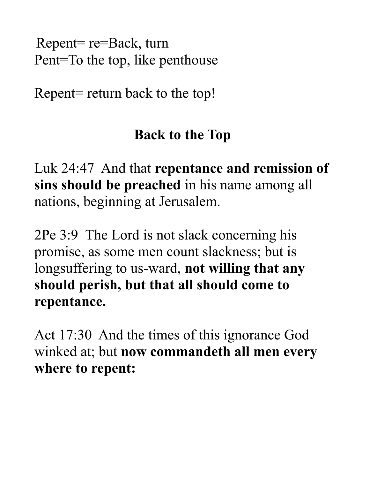Repent= re=Back, turn Pent=To the top, like penthouse

Repent= return back to the top!

## **Back to the Top**

Luk 24:47 And that **repentance and remission of sins should be preached** in his name among all nations, beginning at Jerusalem.

2Pe 3:9 The Lord is not slack concerning his promise, as some men count slackness; but is longsuffering to us-ward, **not willing that any should perish, but that all should come to repentance.** 

Act 17:30 And the times of this ignorance God winked at; but **now commandeth all men every where to repent:**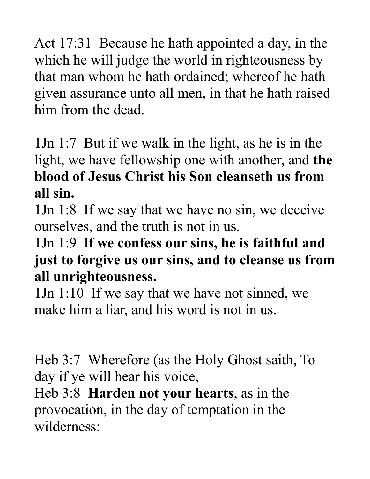Act 17:31 Because he hath appointed a day, in the which he will judge the world in righteousness by that man whom he hath ordained; whereof he hath given assurance unto all men, in that he hath raised him from the dead.

1Jn 1:7 But if we walk in the light, as he is in the light, we have fellowship one with another, and **the blood of Jesus Christ his Son cleanseth us from all sin.** 

1Jn 1:8 If we say that we have no sin, we deceive ourselves, and the truth is not in us.

#### 1Jn 1:9 I**f we confess our sins, he is faithful and just to forgive us our sins, and to cleanse us from all unrighteousness.**

1Jn 1:10 If we say that we have not sinned, we make him a liar, and his word is not in us.

Heb 3:7 Wherefore (as the Holy Ghost saith, To day if ye will hear his voice,

Heb 3:8 **Harden not your hearts**, as in the provocation, in the day of temptation in the wilderness: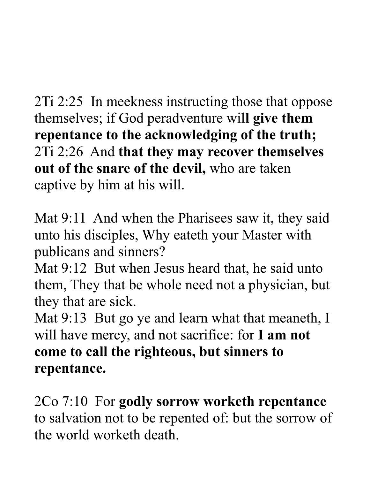2Ti 2:25 In meekness instructing those that oppose themselves; if God peradventure wil**l give them repentance to the acknowledging of the truth;**  2Ti 2:26 And **that they may recover themselves out of the snare of the devil,** who are taken captive by him at his will.

Mat 9:11 And when the Pharisees saw it, they said unto his disciples, Why eateth your Master with publicans and sinners?

Mat 9:12 But when Jesus heard that, he said unto them, They that be whole need not a physician, but they that are sick.

Mat 9:13 But go ye and learn what that meaneth, I will have mercy, and not sacrifice: for **I am not come to call the righteous, but sinners to repentance.** 

2Co 7:10 For **godly sorrow worketh repentance** to salvation not to be repented of: but the sorrow of the world worketh death.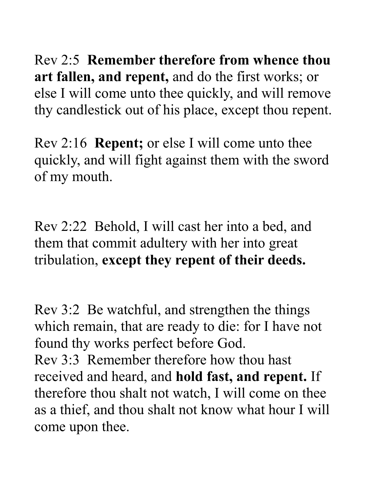Rev 2:5 **Remember therefore from whence thou art fallen, and repent,** and do the first works; or else I will come unto thee quickly, and will remove thy candlestick out of his place, except thou repent.

Rev 2:16 **Repent;** or else I will come unto thee quickly, and will fight against them with the sword of my mouth.

Rev 2:22 Behold, I will cast her into a bed, and them that commit adultery with her into great tribulation, **except they repent of their deeds.** 

Rev 3:2 Be watchful, and strengthen the things which remain, that are ready to die: for I have not found thy works perfect before God. Rev 3:3 Remember therefore how thou hast received and heard, and **hold fast, and repent.** If therefore thou shalt not watch, I will come on thee as a thief, and thou shalt not know what hour I will come upon thee.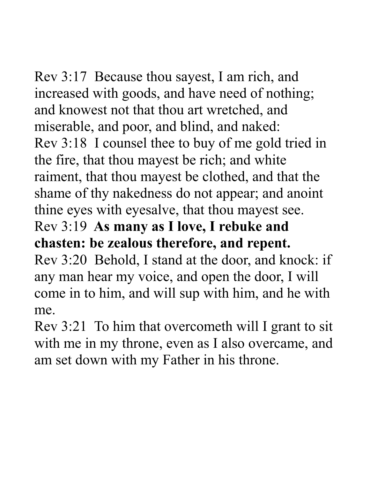Rev 3:17 Because thou sayest, I am rich, and increased with goods, and have need of nothing; and knowest not that thou art wretched, and miserable, and poor, and blind, and naked: Rev 3:18 I counsel thee to buy of me gold tried in the fire, that thou mayest be rich; and white raiment, that thou mayest be clothed, and that the shame of thy nakedness do not appear; and anoint thine eyes with eyesalve, that thou mayest see. Rev 3:19 **As many as I love, I rebuke and** 

**chasten: be zealous therefore, and repent.** Rev 3:20 Behold, I stand at the door, and knock: if any man hear my voice, and open the door, I will come in to him, and will sup with him, and he with me.

Rev 3:21 To him that overcometh will I grant to sit with me in my throne, even as I also overcame, and am set down with my Father in his throne.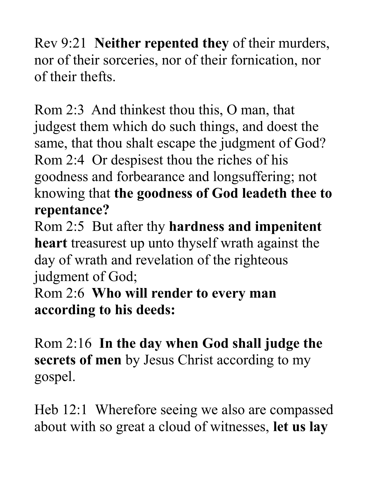Rev 9:21 **Neither repented they** of their murders, nor of their sorceries, nor of their fornication, nor of their thefts.

Rom 2:3 And thinkest thou this, O man, that judgest them which do such things, and doest the same, that thou shalt escape the judgment of God? Rom 2:4 Or despisest thou the riches of his goodness and forbearance and longsuffering; not knowing that **the goodness of God leadeth thee to repentance?** 

Rom 2:5 But after thy **hardness and impenitent heart** treasurest up unto thyself wrath against the day of wrath and revelation of the righteous judgment of God;

Rom 2:6 **Who will render to every man according to his deeds:** 

Rom 2:16 **In the day when God shall judge the secrets of men** by Jesus Christ according to my gospel.

Heb 12:1 Wherefore seeing we also are compassed about with so great a cloud of witnesses, **let us lay**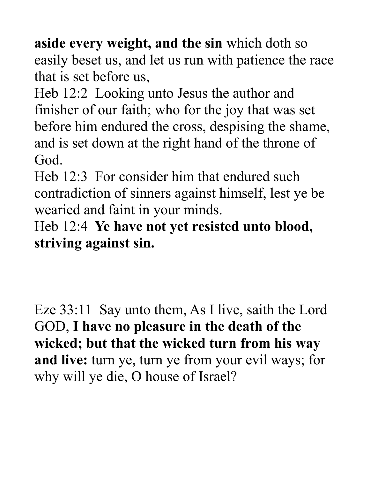**aside every weight, and the sin** which doth so easily beset us, and let us run with patience the race that is set before us,

Heb 12:2 Looking unto Jesus the author and finisher of our faith; who for the joy that was set before him endured the cross, despising the shame, and is set down at the right hand of the throne of God.

Heb 12:3 For consider him that endured such contradiction of sinners against himself, lest ye be wearied and faint in your minds.

Heb 12:4 **Ye have not yet resisted unto blood, striving against sin.** 

Eze 33:11 Say unto them, As I live, saith the Lord GOD, **I have no pleasure in the death of the wicked; but that the wicked turn from his way and live:** turn ye, turn ye from your evil ways; for why will ye die, O house of Israel?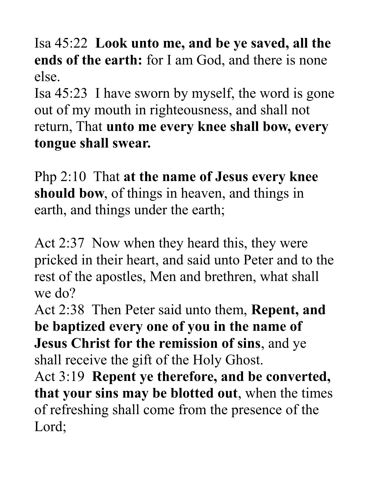Isa 45:22 **Look unto me, and be ye saved, all the ends of the earth:** for I am God, and there is none else.

Isa 45:23 I have sworn by myself, the word is gone out of my mouth in righteousness, and shall not return, That **unto me every knee shall bow, every tongue shall swear.** 

Php 2:10 That **at the name of Jesus every knee should bow**, of things in heaven, and things in earth, and things under the earth;

Act 2:37 Now when they heard this, they were pricked in their heart, and said unto Peter and to the rest of the apostles, Men and brethren, what shall we do?

Act 2:38 Then Peter said unto them, **Repent, and be baptized every one of you in the name of Jesus Christ for the remission of sins**, and ye shall receive the gift of the Holy Ghost.

Act 3:19 **Repent ye therefore, and be converted, that your sins may be blotted out**, when the times of refreshing shall come from the presence of the Lord;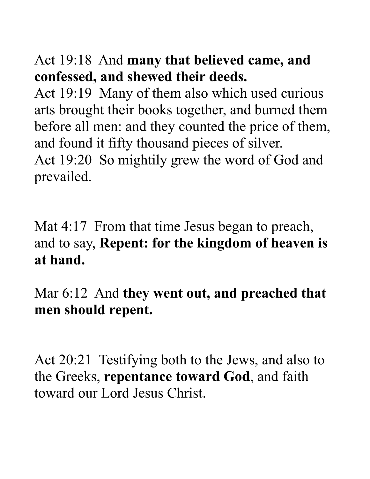## Act 19:18 And **many that believed came, and confessed, and shewed their deeds.**

Act 19:19 Many of them also which used curious arts brought their books together, and burned them before all men: and they counted the price of them, and found it fifty thousand pieces of silver. Act 19:20 So mightily grew the word of God and prevailed.

Mat 4:17 From that time Jesus began to preach, and to say, **Repent: for the kingdom of heaven is at hand.** 

Mar 6:12 And **they went out, and preached that men should repent.** 

Act 20:21 Testifying both to the Jews, and also to the Greeks, **repentance toward God**, and faith toward our Lord Jesus Christ.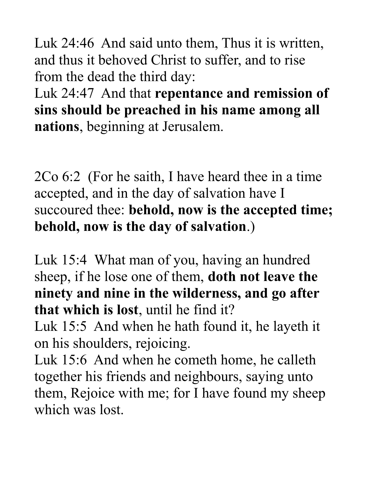Luk 24:46 And said unto them, Thus it is written, and thus it behoved Christ to suffer, and to rise from the dead the third day:

Luk 24:47 And that **repentance and remission of sins should be preached in his name among all nations**, beginning at Jerusalem.

2Co 6:2 (For he saith, I have heard thee in a time accepted, and in the day of salvation have I succoured thee: **behold, now is the accepted time; behold, now is the day of salvation**.)

Luk 15:4 What man of you, having an hundred sheep, if he lose one of them, **doth not leave the ninety and nine in the wilderness, and go after that which is lost**, until he find it?

Luk 15:5 And when he hath found it, he layeth it on his shoulders, rejoicing.

Luk 15:6 And when he cometh home, he calleth together his friends and neighbours, saying unto them, Rejoice with me; for I have found my sheep which was lost.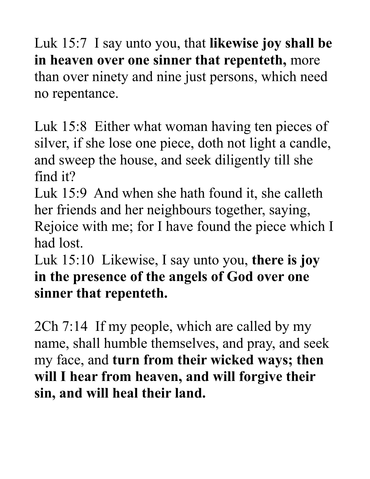Luk 15:7 I say unto you, that **likewise joy shall be in heaven over one sinner that repenteth,** more than over ninety and nine just persons, which need no repentance.

Luk 15:8 Either what woman having ten pieces of silver, if she lose one piece, doth not light a candle, and sweep the house, and seek diligently till she find it?

Luk 15:9 And when she hath found it, she calleth her friends and her neighbours together, saying, Rejoice with me; for I have found the piece which I had lost.

Luk 15:10 Likewise, I say unto you, **there is joy in the presence of the angels of God over one sinner that repenteth.**

2Ch 7:14 If my people, which are called by my name, shall humble themselves, and pray, and seek my face, and **turn from their wicked ways; then will I hear from heaven, and will forgive their sin, and will heal their land.**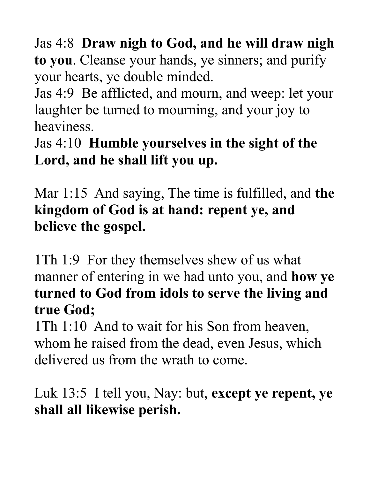Jas 4:8 **Draw nigh to God, and he will draw nigh to you**. Cleanse your hands, ye sinners; and purify your hearts, ye double minded.

Jas 4:9 Be afflicted, and mourn, and weep: let your laughter be turned to mourning, and your joy to heaviness.

Jas 4:10 **Humble yourselves in the sight of the Lord, and he shall lift you up.** 

Mar 1:15 And saying, The time is fulfilled, and **the kingdom of God is at hand: repent ye, and believe the gospel.** 

1Th 1:9 For they themselves shew of us what manner of entering in we had unto you, and **how ye turned to God from idols to serve the living and true God;** 

1Th 1:10 And to wait for his Son from heaven, whom he raised from the dead, even Jesus, which delivered us from the wrath to come.

Luk 13:5 I tell you, Nay: but, **except ye repent, ye shall all likewise perish.**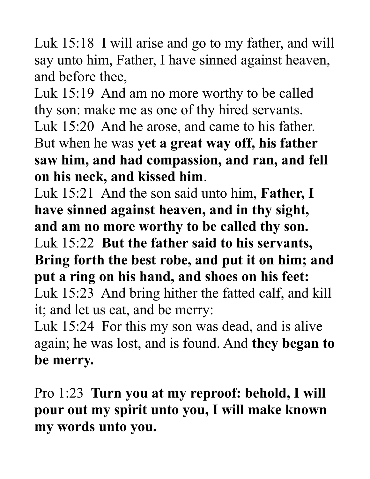Luk 15:18 I will arise and go to my father, and will say unto him, Father, I have sinned against heaven, and before thee,

Luk 15:19 And am no more worthy to be called thy son: make me as one of thy hired servants. Luk 15:20 And he arose, and came to his father. But when he was **yet a great way off, his father saw him, and had compassion, and ran, and fell on his neck, and kissed him**.

Luk 15:21 And the son said unto him, **Father, I have sinned against heaven, and in thy sight, and am no more worthy to be called thy son.** 

Luk 15:22 **But the father said to his servants,** 

**Bring forth the best robe, and put it on him; and put a ring on his hand, and shoes on his feet:** 

Luk 15:23 And bring hither the fatted calf, and kill it; and let us eat, and be merry:

Luk 15:24 For this my son was dead, and is alive again; he was lost, and is found. And **they began to be merry.** 

Pro 1:23 **Turn you at my reproof: behold, I will pour out my spirit unto you, I will make known my words unto you.**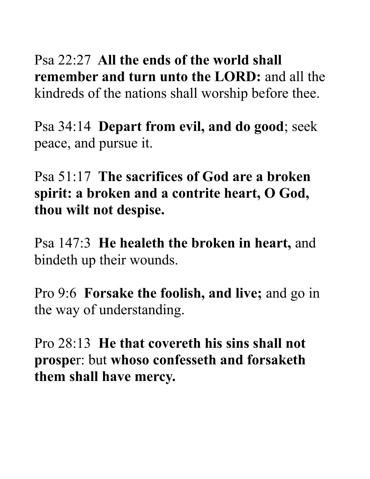Psa 22:27 **All the ends of the world shall remember and turn unto the LORD:** and all the kindreds of the nations shall worship before thee.

Psa 34:14 **Depart from evil, and do good**; seek peace, and pursue it.

Psa 51:17 **The sacrifices of God are a broken spirit: a broken and a contrite heart, O God, thou wilt not despise.** 

Psa 147:3 **He healeth the broken in heart,** and bindeth up their wounds.

Pro 9:6 **Forsake the foolish, and live;** and go in the way of understanding.

Pro 28:13 **He that covereth his sins shall not prospe**r: but **whoso confesseth and forsaketh them shall have mercy.**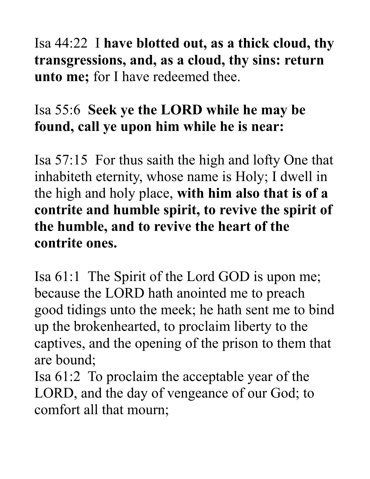Isa 44:22 I **have blotted out, as a thick cloud, thy transgressions, and, as a cloud, thy sins: return unto me;** for I have redeemed thee.

# Isa 55:6 **Seek ye the LORD while he may be found, call ye upon him while he is near:**

Isa 57:15 For thus saith the high and lofty One that inhabiteth eternity, whose name is Holy; I dwell in the high and holy place, **with him also that is of a contrite and humble spirit, to revive the spirit of the humble, and to revive the heart of the contrite ones.** 

Isa 61:1 The Spirit of the Lord GOD is upon me; because the LORD hath anointed me to preach good tidings unto the meek; he hath sent me to bind up the brokenhearted, to proclaim liberty to the captives, and the opening of the prison to them that are bound;

Isa 61:2 To proclaim the acceptable year of the LORD, and the day of vengeance of our God; to comfort all that mourn;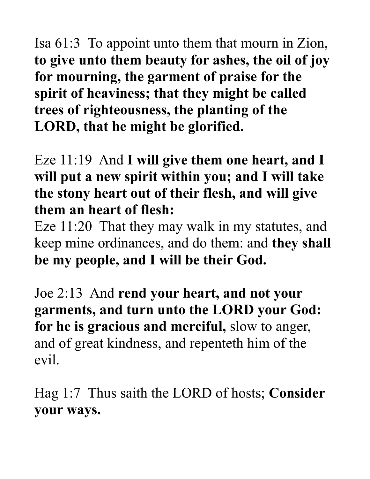Isa 61:3 To appoint unto them that mourn in Zion, **to give unto them beauty for ashes, the oil of joy for mourning, the garment of praise for the spirit of heaviness; that they might be called trees of righteousness, the planting of the LORD, that he might be glorified.** 

Eze 11:19 And **I will give them one heart, and I will put a new spirit within you; and I will take the stony heart out of their flesh, and will give them an heart of flesh:**

Eze 11:20 That they may walk in my statutes, and keep mine ordinances, and do them: and **they shall be my people, and I will be their God.** 

Joe 2:13 And **rend your heart, and not your garments, and turn unto the LORD your God: for he is gracious and merciful,** slow to anger, and of great kindness, and repenteth him of the evil.

Hag 1:7 Thus saith the LORD of hosts; **Consider your ways.**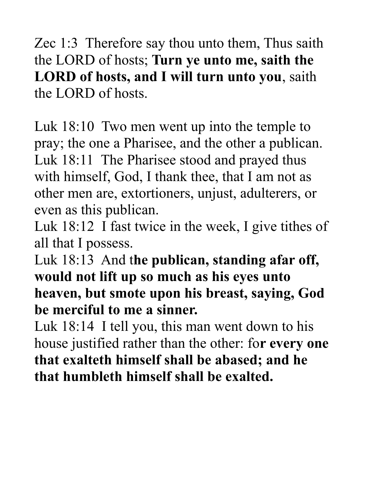Zec 1:3 Therefore say thou unto them, Thus saith the LORD of hosts; **Turn ye unto me, saith the LORD of hosts, and I will turn unto you**, saith the LORD of hosts.

Luk 18:10 Two men went up into the temple to pray; the one a Pharisee, and the other a publican. Luk 18:11 The Pharisee stood and prayed thus with himself, God, I thank thee, that I am not as other men are, extortioners, unjust, adulterers, or even as this publican.

Luk 18:12 I fast twice in the week, I give tithes of all that I possess.

Luk 18:13 And t**he publican, standing afar off, would not lift up so much as his eyes unto heaven, but smote upon his breast, saying, God be merciful to me a sinner.** 

Luk 18:14 I tell you, this man went down to his house justified rather than the other: fo**r every one that exalteth himself shall be abased; and he that humbleth himself shall be exalted.**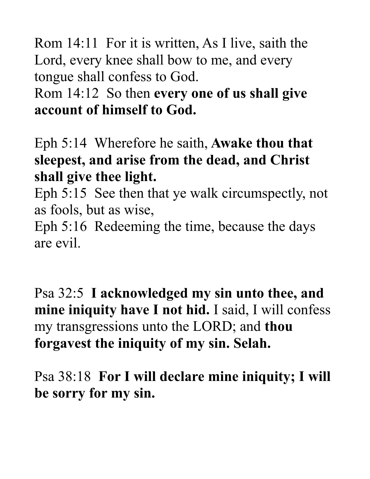Rom 14:11 For it is written, As I live, saith the Lord, every knee shall bow to me, and every tongue shall confess to God.

## Rom 14:12 So then **every one of us shall give account of himself to God.**

Eph 5:14 Wherefore he saith, **Awake thou that sleepest, and arise from the dead, and Christ shall give thee light.** 

Eph 5:15 See then that ye walk circumspectly, not as fools, but as wise,

Eph 5:16 Redeeming the time, because the days are evil.

Psa 32:5 **I acknowledged my sin unto thee, and mine iniquity have I not hid.** I said, I will confess my transgressions unto the LORD; and **thou forgavest the iniquity of my sin. Selah.** 

Psa 38:18 **For I will declare mine iniquity; I will be sorry for my sin.**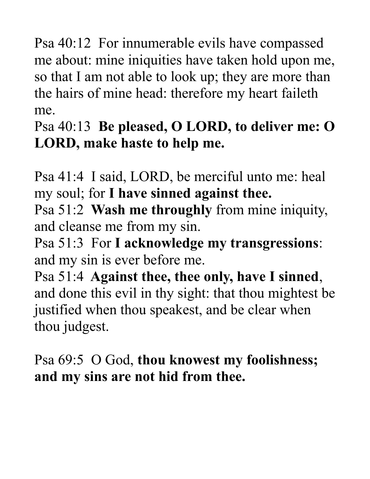Psa 40:12 For innumerable evils have compassed me about: mine iniquities have taken hold upon me, so that I am not able to look up; they are more than the hairs of mine head: therefore my heart faileth me.

Psa 40:13 **Be pleased, O LORD, to deliver me: O LORD, make haste to help me.** 

Psa 41:4 I said, LORD, be merciful unto me: heal my soul; for **I have sinned against thee.** 

Psa 51:2 **Wash me throughly** from mine iniquity, and cleanse me from my sin.

Psa 51:3 For **I acknowledge my transgressions**: and my sin is ever before me.

Psa 51:4 **Against thee, thee only, have I sinned**, and done this evil in thy sight: that thou mightest be justified when thou speakest, and be clear when thou judgest.

Psa 69:5 O God, **thou knowest my foolishness; and my sins are not hid from thee.**